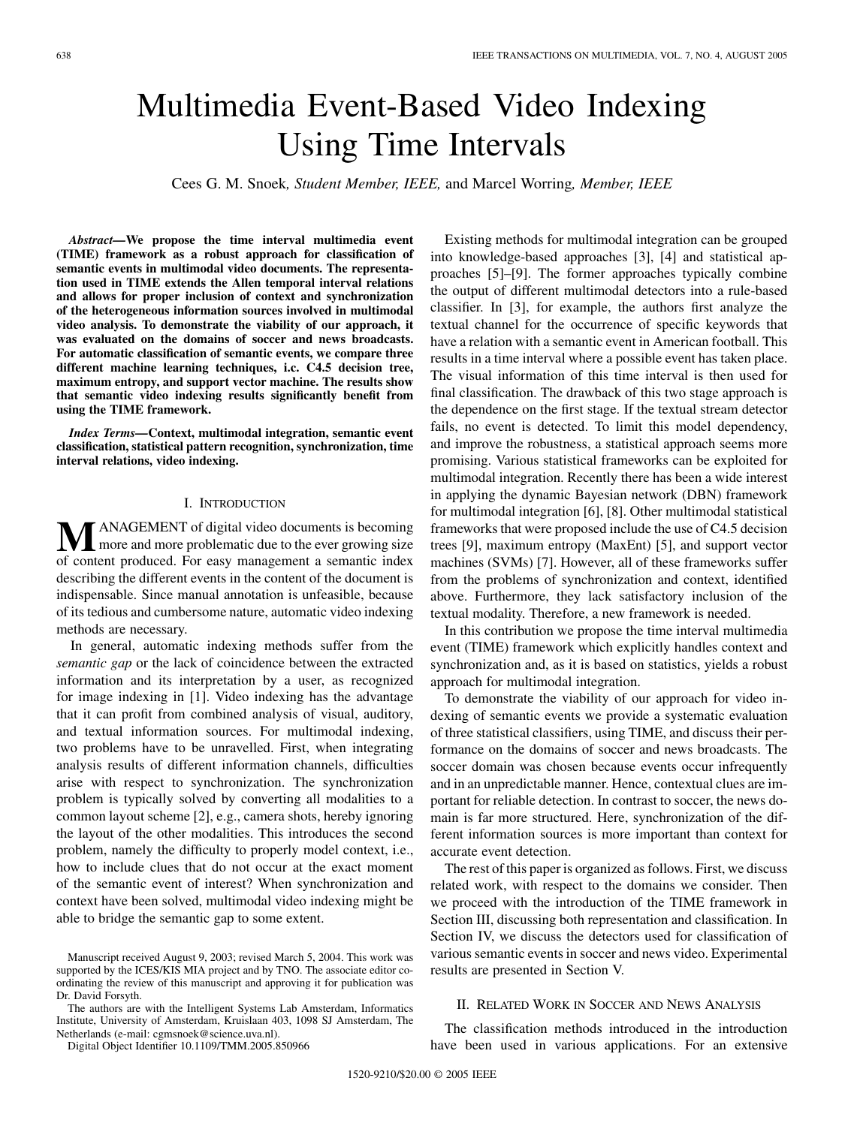# Multimedia Event-Based Video Indexing Using Time Intervals

Cees G. M. Snoek*, Student Member, IEEE,* and Marcel Worring*, Member, IEEE*

*Abstract—***We propose the time interval multimedia event (TIME) framework as a robust approach for classification of semantic events in multimodal video documents. The representation used in TIME extends the Allen temporal interval relations and allows for proper inclusion of context and synchronization of the heterogeneous information sources involved in multimodal video analysis. To demonstrate the viability of our approach, it was evaluated on the domains of soccer and news broadcasts. For automatic classification of semantic events, we compare three different machine learning techniques, i.c. C4.5 decision tree, maximum entropy, and support vector machine. The results show that semantic video indexing results significantly benefit from using the TIME framework.**

*Index Terms—***Context, multimodal integration, semantic event classification, statistical pattern recognition, synchronization, time interval relations, video indexing.**

## I. INTRODUCTION

**M**ANAGEMENT of digital video documents is becoming<br>more and more problematic due to the ever growing size<br>of content readuced. For easy management a computie index of content produced. For easy management a semantic index describing the different events in the content of the document is indispensable. Since manual annotation is unfeasible, because of its tedious and cumbersome nature, automatic video indexing methods are necessary.

In general, automatic indexing methods suffer from the *semantic gap* or the lack of coincidence between the extracted information and its interpretation by a user, as recognized for image indexing in [[1\]](#page-8-0). Video indexing has the advantage that it can profit from combined analysis of visual, auditory, and textual information sources. For multimodal indexing, two problems have to be unravelled. First, when integrating analysis results of different information channels, difficulties arise with respect to synchronization. The synchronization problem is typically solved by converting all modalities to a common layout scheme [\[2](#page-8-0)], e.g., camera shots, hereby ignoring the layout of the other modalities. This introduces the second problem, namely the difficulty to properly model context, i.e., how to include clues that do not occur at the exact moment of the semantic event of interest? When synchronization and context have been solved, multimodal video indexing might be able to bridge the semantic gap to some extent.

The authors are with the Intelligent Systems Lab Amsterdam, Informatics Institute, University of Amsterdam, Kruislaan 403, 1098 SJ Amsterdam, The Netherlands (e-mail: cgmsnoek@science.uva.nl).

Digital Object Identifier 10.1109/TMM.2005.850966

Existing methods for multimodal integration can be grouped into knowledge-based approaches [[3\]](#page-8-0), [\[4](#page-8-0)] and statistical approaches [\[5](#page-8-0)]–[[9\]](#page-8-0). The former approaches typically combine the output of different multimodal detectors into a rule-based classifier. In [\[3](#page-8-0)], for example, the authors first analyze the textual channel for the occurrence of specific keywords that have a relation with a semantic event in American football. This results in a time interval where a possible event has taken place. The visual information of this time interval is then used for final classification. The drawback of this two stage approach is the dependence on the first stage. If the textual stream detector fails, no event is detected. To limit this model dependency, and improve the robustness, a statistical approach seems more promising. Various statistical frameworks can be exploited for multimodal integration. Recently there has been a wide interest in applying the dynamic Bayesian network (DBN) framework for multimodal integration [\[6](#page-8-0)], [[8\]](#page-8-0). Other multimodal statistical frameworks that were proposed include the use of C4.5 decision trees [[9\]](#page-8-0), maximum entropy (MaxEnt) [\[5](#page-8-0)], and support vector machines (SVMs) [[7\]](#page-8-0). However, all of these frameworks suffer from the problems of synchronization and context, identified above. Furthermore, they lack satisfactory inclusion of the textual modality. Therefore, a new framework is needed.

In this contribution we propose the time interval multimedia event (TIME) framework which explicitly handles context and synchronization and, as it is based on statistics, yields a robust approach for multimodal integration.

To demonstrate the viability of our approach for video indexing of semantic events we provide a systematic evaluation of three statistical classifiers, using TIME, and discuss their performance on the domains of soccer and news broadcasts. The soccer domain was chosen because events occur infrequently and in an unpredictable manner. Hence, contextual clues are important for reliable detection. In contrast to soccer, the news domain is far more structured. Here, synchronization of the different information sources is more important than context for accurate event detection.

The rest of this paper is organized as follows. First, we discuss related work, with respect to the domains we consider. Then we proceed with the introduction of the TIME framework in Section III, discussing both representation and classification. In Section IV, we discuss the detectors used for classification of various semantic events in soccer and news video. Experimental results are presented in Section V.

## II. RELATED WORK IN SOCCER AND NEWS ANALYSIS

The classification methods introduced in the introduction have been used in various applications. For an extensive

Manuscript received August 9, 2003; revised March 5, 2004. This work was supported by the ICES/KIS MIA project and by TNO. The associate editor coordinating the review of this manuscript and approving it for publication was Dr. David Forsyth.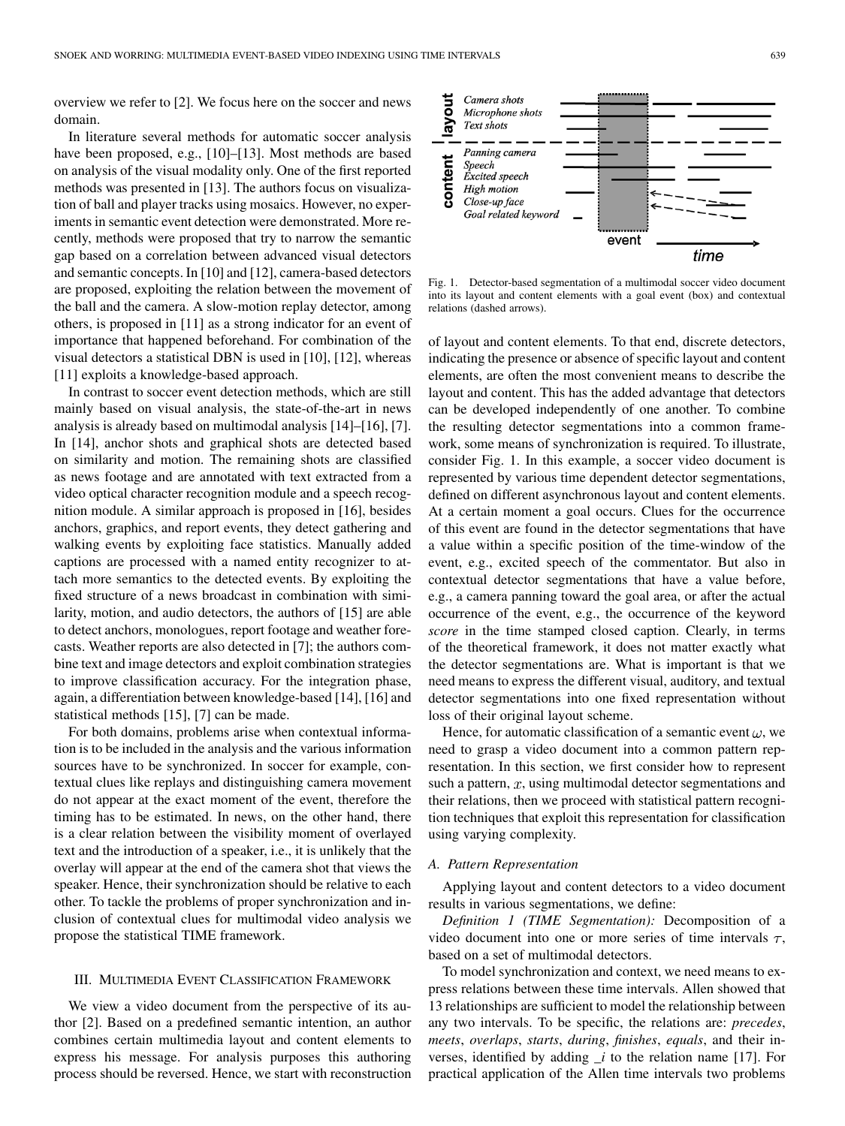overview we refer to [[2\]](#page-8-0). We focus here on the soccer and news domain.

In literature several methods for automatic soccer analysis have been proposed, e.g., [[10\]](#page-8-0)–[\[13](#page-8-0)]. Most methods are based on analysis of the visual modality only. One of the first reported methods was presented in [\[13](#page-8-0)]. The authors focus on visualization of ball and player tracks using mosaics. However, no experiments in semantic event detection were demonstrated. More recently, methods were proposed that try to narrow the semantic gap based on a correlation between advanced visual detectors and semantic concepts. In [\[10](#page-8-0)] and [[12\]](#page-8-0), camera-based detectors are proposed, exploiting the relation between the movement of the ball and the camera. A slow-motion replay detector, among others, is proposed in [\[11](#page-8-0)] as a strong indicator for an event of importance that happened beforehand. For combination of the visual detectors a statistical DBN is used in [[10\]](#page-8-0), [\[12](#page-8-0)], whereas [\[11](#page-8-0)] exploits a knowledge-based approach.

In contrast to soccer event detection methods, which are still mainly based on visual analysis, the state-of-the-art in news analysis is already based on multimodal analysis [[14](#page-8-0)]–[\[16](#page-8-0)], [\[7](#page-8-0)]. In [[14\]](#page-8-0), anchor shots and graphical shots are detected based on similarity and motion. The remaining shots are classified as news footage and are annotated with text extracted from a video optical character recognition module and a speech recognition module. A similar approach is proposed in [\[16](#page-8-0)], besides anchors, graphics, and report events, they detect gathering and walking events by exploiting face statistics. Manually added captions are processed with a named entity recognizer to attach more semantics to the detected events. By exploiting the fixed structure of a news broadcast in combination with similarity, motion, and audio detectors, the authors of [[15\]](#page-8-0) are able to detect anchors, monologues, report footage and weather forecasts. Weather reports are also detected in [\[7](#page-8-0)]; the authors combine text and image detectors and exploit combination strategies to improve classification accuracy. For the integration phase, again, a differentiation between knowledge-based [[14\]](#page-8-0), [[16\]](#page-8-0) and statistical methods [\[15](#page-8-0)], [\[7](#page-8-0)] can be made.

For both domains, problems arise when contextual information is to be included in the analysis and the various information sources have to be synchronized. In soccer for example, contextual clues like replays and distinguishing camera movement do not appear at the exact moment of the event, therefore the timing has to be estimated. In news, on the other hand, there is a clear relation between the visibility moment of overlayed text and the introduction of a speaker, i.e., it is unlikely that the overlay will appear at the end of the camera shot that views the speaker. Hence, their synchronization should be relative to each other. To tackle the problems of proper synchronization and inclusion of contextual clues for multimodal video analysis we propose the statistical TIME framework.

#### III. MULTIMEDIA EVENT CLASSIFICATION FRAMEWORK

We view a video document from the perspective of its author [\[2](#page-8-0)]. Based on a predefined semantic intention, an author combines certain multimedia layout and content elements to express his message. For analysis purposes this authoring process should be reversed. Hence, we start with reconstruction



Fig. 1. Detector-based segmentation of a multimodal soccer video document into its layout and content elements with a goal event (box) and contextual relations (dashed arrows).

of layout and content elements. To that end, discrete detectors, indicating the presence or absence of specific layout and content elements, are often the most convenient means to describe the layout and content. This has the added advantage that detectors can be developed independently of one another. To combine the resulting detector segmentations into a common framework, some means of synchronization is required. To illustrate, consider Fig. 1. In this example, a soccer video document is represented by various time dependent detector segmentations, defined on different asynchronous layout and content elements. At a certain moment a goal occurs. Clues for the occurrence of this event are found in the detector segmentations that have a value within a specific position of the time-window of the event, e.g., excited speech of the commentator. But also in contextual detector segmentations that have a value before, e.g., a camera panning toward the goal area, or after the actual occurrence of the event, e.g., the occurrence of the keyword *score* in the time stamped closed caption. Clearly, in terms of the theoretical framework, it does not matter exactly what the detector segmentations are. What is important is that we need means to express the different visual, auditory, and textual detector segmentations into one fixed representation without loss of their original layout scheme.

Hence, for automatic classification of a semantic event  $\omega$ , we need to grasp a video document into a common pattern representation. In this section, we first consider how to represent such a pattern,  $x$ , using multimodal detector segmentations and their relations, then we proceed with statistical pattern recognition techniques that exploit this representation for classification using varying complexity.

### *A. Pattern Representation*

Applying layout and content detectors to a video document results in various segmentations, we define:

*Definition 1 (TIME Segmentation):* Decomposition of a video document into one or more series of time intervals  $\tau$ , based on a set of multimodal detectors.

To model synchronization and context, we need means to express relations between these time intervals. Allen showed that 13 relationships are sufficient to model the relationship between any two intervals. To be specific, the relations are: *precedes*, *meets*, *overlaps*, *starts*, *during*, *finishes*, *equals*, and their inverses, identified by adding *\_i* to the relation name [\[17](#page-8-0)]. For practical application of the Allen time intervals two problems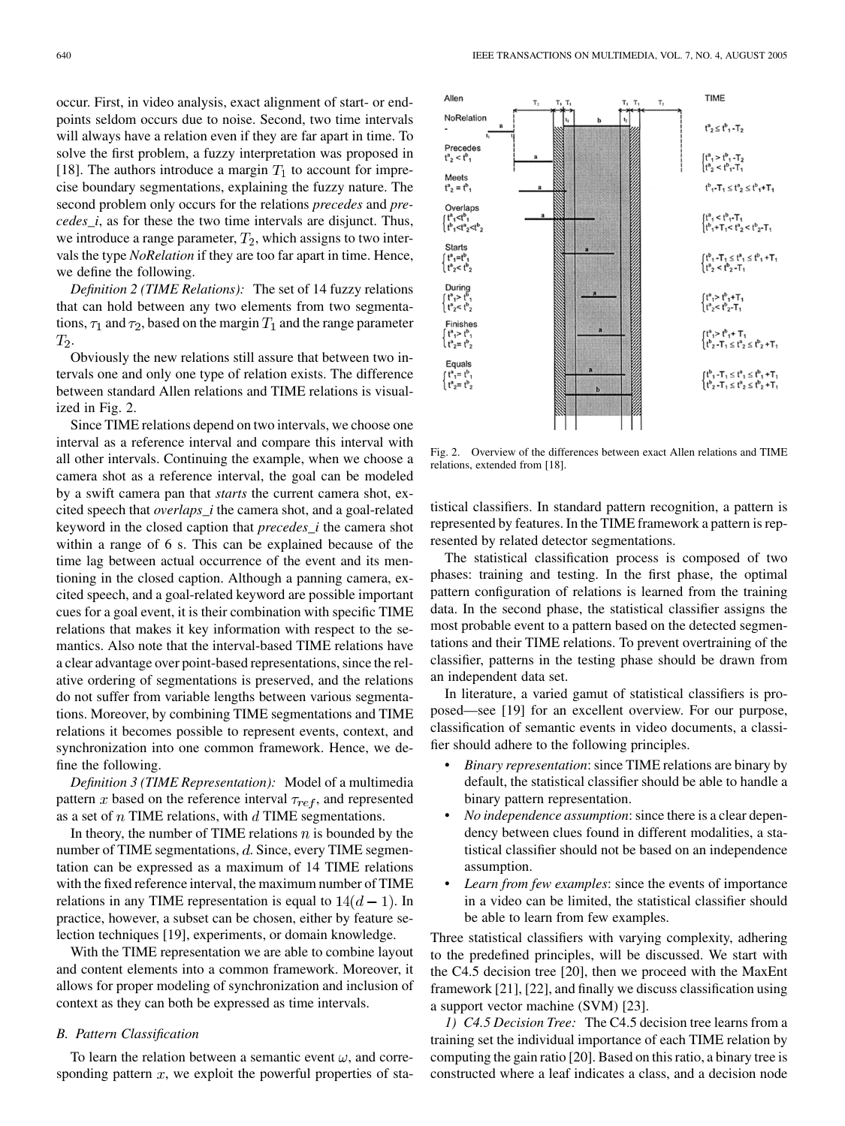occur. First, in video analysis, exact alignment of start- or endpoints seldom occurs due to noise. Second, two time intervals will always have a relation even if they are far apart in time. To solve the first problem, a fuzzy interpretation was proposed in [[18\]](#page-9-0). The authors introduce a margin  $T_1$  to account for imprecise boundary segmentations, explaining the fuzzy nature. The second problem only occurs for the relations *precedes* and *precedes\_i*, as for these the two time intervals are disjunct. Thus, we introduce a range parameter,  $T_2$ , which assigns to two intervals the type *NoRelation* if they are too far apart in time. Hence, we define the following.

*Definition 2 (TIME Relations):* The set of 14 fuzzy relations that can hold between any two elements from two segmentations,  $\tau_1$  and  $\tau_2$ , based on the margin  $T_1$  and the range parameter  $T_2.$ 

Obviously the new relations still assure that between two intervals one and only one type of relation exists. The difference between standard Allen relations and TIME relations is visualized in Fig. 2.

Since TIME relations depend on two intervals, we choose one interval as a reference interval and compare this interval with all other intervals. Continuing the example, when we choose a camera shot as a reference interval, the goal can be modeled by a swift camera pan that *starts* the current camera shot, excited speech that *overlaps\_i* the camera shot, and a goal-related keyword in the closed caption that *precedes\_i* the camera shot within a range of 6 s. This can be explained because of the time lag between actual occurrence of the event and its mentioning in the closed caption. Although a panning camera, excited speech, and a goal-related keyword are possible important cues for a goal event, it is their combination with specific TIME relations that makes it key information with respect to the semantics. Also note that the interval-based TIME relations have a clear advantage over point-based representations, since the relative ordering of segmentations is preserved, and the relations do not suffer from variable lengths between various segmentations. Moreover, by combining TIME segmentations and TIME relations it becomes possible to represent events, context, and synchronization into one common framework. Hence, we define the following.

*Definition 3 (TIME Representation):* Model of a multimedia pattern x based on the reference interval  $\tau_{ref}$ , and represented as a set of  $n$  TIME relations, with  $d$  TIME segmentations.

In theory, the number of TIME relations  $n$  is bounded by the number of TIME segmentations,  $d$ . Since, every TIME segmentation can be expressed as a maximum of 14 TIME relations with the fixed reference interval, the maximum number of TIME relations in any TIME representation is equal to  $14(d-1)$ . In practice, however, a subset can be chosen, either by feature selection techniques [[19\]](#page-9-0), experiments, or domain knowledge.

With the TIME representation we are able to combine layout and content elements into a common framework. Moreover, it allows for proper modeling of synchronization and inclusion of context as they can both be expressed as time intervals.

# *B. Pattern Classification*

To learn the relation between a semantic event  $\omega$ , and corresponding pattern  $x$ , we exploit the powerful properties of sta-



Fig. 2. Overview of the differences between exact Allen relations and TIME relations, extended from [[18\]](#page-9-0).

tistical classifiers. In standard pattern recognition, a pattern is represented by features. In the TIME framework a pattern is represented by related detector segmentations.

The statistical classification process is composed of two phases: training and testing. In the first phase, the optimal pattern configuration of relations is learned from the training data. In the second phase, the statistical classifier assigns the most probable event to a pattern based on the detected segmentations and their TIME relations. To prevent overtraining of the classifier, patterns in the testing phase should be drawn from an independent data set.

In literature, a varied gamut of statistical classifiers is proposed—see [[19\]](#page-9-0) for an excellent overview. For our purpose, classification of semantic events in video documents, a classifier should adhere to the following principles.

- *Binary representation*: since TIME relations are binary by default, the statistical classifier should be able to handle a binary pattern representation.
- *No independence assumption*: since there is a clear dependency between clues found in different modalities, a statistical classifier should not be based on an independence assumption.
- *Learn from few examples*: since the events of importance in a video can be limited, the statistical classifier should be able to learn from few examples.

Three statistical classifiers with varying complexity, adhering to the predefined principles, will be discussed. We start with the C4.5 decision tree [\[20](#page-9-0)], then we proceed with the MaxEnt framework [\[21](#page-9-0)], [\[22](#page-9-0)], and finally we discuss classification using a support vector machine (SVM) [[23\]](#page-9-0).

*1) C4.5 Decision Tree:* The C4.5 decision tree learns from a training set the individual importance of each TIME relation by computing the gain ratio [\[20](#page-9-0)]. Based on this ratio, a binary tree is constructed where a leaf indicates a class, and a decision node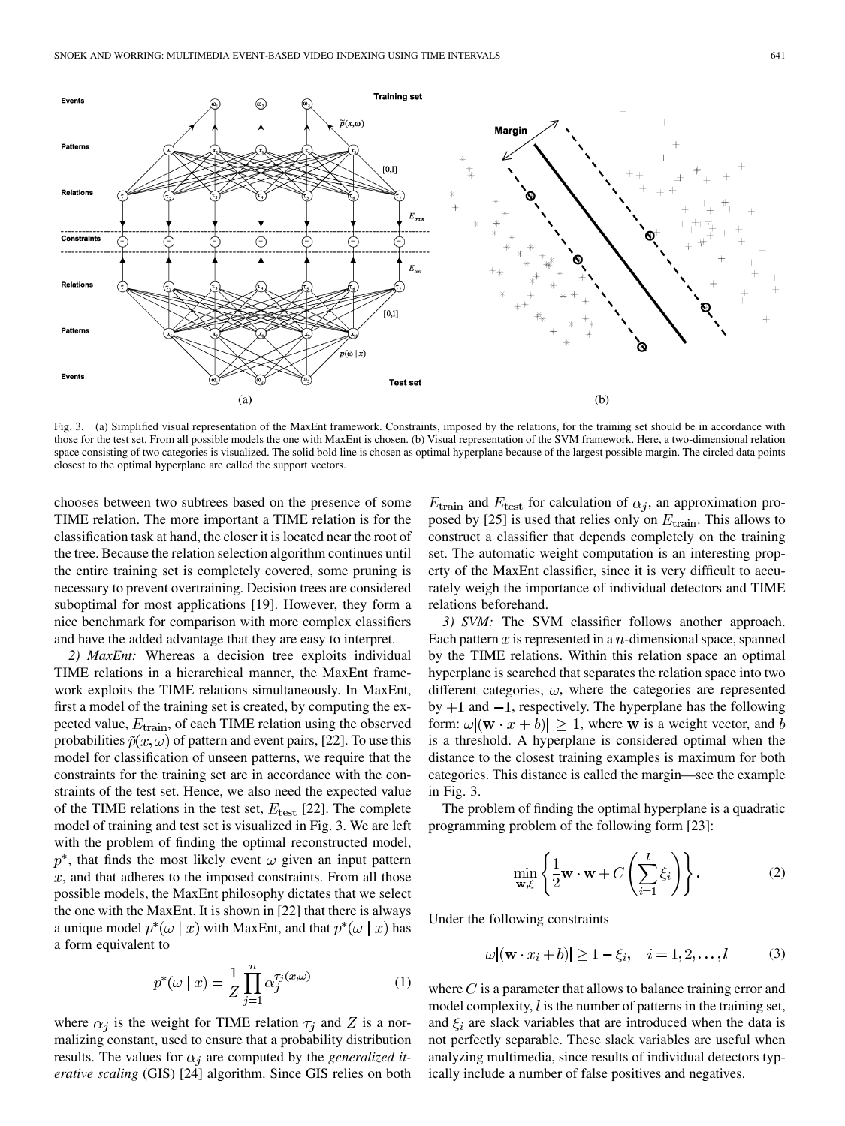

Fig. 3. (a) Simplified visual representation of the MaxEnt framework. Constraints, imposed by the relations, for the training set should be in accordance with those for the test set. From all possible models the one with MaxEnt is chosen. (b) Visual representation of the SVM framework. Here, a two-dimensional relation space consisting of two categories is visualized. The solid bold line is chosen as optimal hyperplane because of the largest possible margin. The circled data points closest to the optimal hyperplane are called the support vectors.

chooses between two subtrees based on the presence of some TIME relation. The more important a TIME relation is for the classification task at hand, the closer it is located near the root of the tree. Because the relation selection algorithm continues until the entire training set is completely covered, some pruning is necessary to prevent overtraining. Decision trees are considered suboptimal for most applications [[19\]](#page-9-0). However, they form a nice benchmark for comparison with more complex classifiers and have the added advantage that they are easy to interpret.

*2) MaxEnt:* Whereas a decision tree exploits individual TIME relations in a hierarchical manner, the MaxEnt framework exploits the TIME relations simultaneously. In MaxEnt, first a model of the training set is created, by computing the expected value,  $E_{\text{train}}$ , of each TIME relation using the observed probabilities  $\tilde{p}(x,\omega)$  of pattern and event pairs, [\[22](#page-9-0)]. To use this model for classification of unseen patterns, we require that the constraints for the training set are in accordance with the constraints of the test set. Hence, we also need the expected value of the TIME relations in the test set,  $E_{\text{test}}$  [\[22](#page-9-0)]. The complete model of training and test set is visualized in Fig. 3. We are left with the problem of finding the optimal reconstructed model,  $p^*$ , that finds the most likely event  $\omega$  given an input pattern  $x$ , and that adheres to the imposed constraints. From all those possible models, the MaxEnt philosophy dictates that we select the one with the MaxEnt. It is shown in [\[22](#page-9-0)] that there is always a unique model  $p^*(\omega | x)$  with MaxEnt, and that  $p^*(\omega | x)$  has a form equivalent to

$$
p^*(\omega \mid x) = \frac{1}{Z} \prod_{j=1}^n \alpha_j^{\tau_j(x,\omega)} \tag{1}
$$

where  $\alpha_j$  is the weight for TIME relation  $\tau_j$  and Z is a normalizing constant, used to ensure that a probability distribution results. The values for  $\alpha_i$  are computed by the *generalized iterative scaling* (GIS) [\[24](#page-9-0)] algorithm. Since GIS relies on both  $E<sub>train</sub>$  and  $E<sub>test</sub>$  for calculation of  $\alpha_i$ , an approximation pro-posed by [\[25](#page-9-0)] is used that relies only on  $E_{\text{train}}$ . This allows to construct a classifier that depends completely on the training set. The automatic weight computation is an interesting property of the MaxEnt classifier, since it is very difficult to accurately weigh the importance of individual detectors and TIME relations beforehand.

*3) SVM:* The SVM classifier follows another approach. Each pattern  $x$  is represented in a  $n$ -dimensional space, spanned by the TIME relations. Within this relation space an optimal hyperplane is searched that separates the relation space into two different categories,  $\omega$ , where the categories are represented by  $+1$  and  $-1$ , respectively. The hyperplane has the following form:  $\omega |(\mathbf{w} \cdot x + b)| \geq 1$ , where w is a weight vector, and b is a threshold. A hyperplane is considered optimal when the distance to the closest training examples is maximum for both categories. This distance is called the margin—see the example in Fig. 3.

The problem of finding the optimal hyperplane is a quadratic programming problem of the following form [[23\]](#page-9-0):

$$
\min_{\mathbf{w}, \xi} \left\{ \frac{1}{2} \mathbf{w} \cdot \mathbf{w} + C \left( \sum_{i=1}^{l} \xi_i \right) \right\}.
$$
 (2)

Under the following constraints

$$
\omega |(\mathbf{w} \cdot x_i + b)| \ge 1 - \xi_i, \quad i = 1, 2, \dots, l \tag{3}
$$

where  $C$  is a parameter that allows to balance training error and model complexity,  $l$  is the number of patterns in the training set, and  $\xi_i$  are slack variables that are introduced when the data is not perfectly separable. These slack variables are useful when analyzing multimedia, since results of individual detectors typically include a number of false positives and negatives.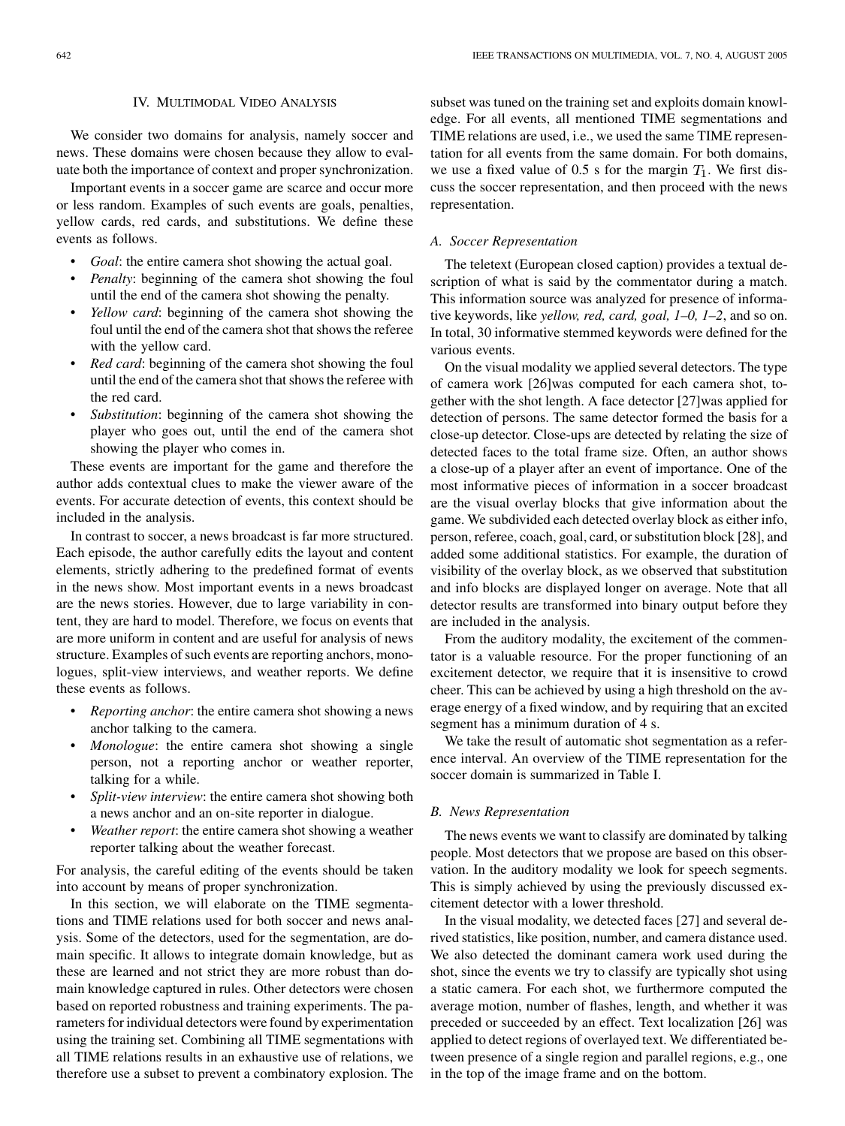### IV. MULTIMODAL VIDEO ANALYSIS

We consider two domains for analysis, namely soccer and news. These domains were chosen because they allow to evaluate both the importance of context and proper synchronization.

Important events in a soccer game are scarce and occur more or less random. Examples of such events are goals, penalties, yellow cards, red cards, and substitutions. We define these events as follows.

- *Goal*: the entire camera shot showing the actual goal.
- *Penalty:* beginning of the camera shot showing the foul until the end of the camera shot showing the penalty.
- Yellow card: beginning of the camera shot showing the foul until the end of the camera shot that shows the referee with the yellow card.
- *Red card:* beginning of the camera shot showing the foul until the end of the camera shot that shows the referee with the red card.
- Substitution: beginning of the camera shot showing the player who goes out, until the end of the camera shot showing the player who comes in.

These events are important for the game and therefore the author adds contextual clues to make the viewer aware of the events. For accurate detection of events, this context should be included in the analysis.

In contrast to soccer, a news broadcast is far more structured. Each episode, the author carefully edits the layout and content elements, strictly adhering to the predefined format of events in the news show. Most important events in a news broadcast are the news stories. However, due to large variability in content, they are hard to model. Therefore, we focus on events that are more uniform in content and are useful for analysis of news structure. Examples of such events are reporting anchors, monologues, split-view interviews, and weather reports. We define these events as follows.

- *Reporting anchor*: the entire camera shot showing a news anchor talking to the camera.
- *Monologue*: the entire camera shot showing a single person, not a reporting anchor or weather reporter, talking for a while.
- *Split-view interview*: the entire camera shot showing both a news anchor and an on-site reporter in dialogue.
- *Weather report*: the entire camera shot showing a weather reporter talking about the weather forecast.

For analysis, the careful editing of the events should be taken into account by means of proper synchronization.

In this section, we will elaborate on the TIME segmentations and TIME relations used for both soccer and news analysis. Some of the detectors, used for the segmentation, are domain specific. It allows to integrate domain knowledge, but as these are learned and not strict they are more robust than domain knowledge captured in rules. Other detectors were chosen based on reported robustness and training experiments. The parameters for individual detectors were found by experimentation using the training set. Combining all TIME segmentations with all TIME relations results in an exhaustive use of relations, we therefore use a subset to prevent a combinatory explosion. The

subset was tuned on the training set and exploits domain knowledge. For all events, all mentioned TIME segmentations and TIME relations are used, i.e., we used the same TIME representation for all events from the same domain. For both domains, we use a fixed value of 0.5 s for the margin  $T_1$ . We first discuss the soccer representation, and then proceed with the news representation.

## *A. Soccer Representation*

The teletext (European closed caption) provides a textual description of what is said by the commentator during a match. This information source was analyzed for presence of informative keywords, like *yellow, red, card, goal, 1–0, 1–2*, and so on. In total, 30 informative stemmed keywords were defined for the various events.

On the visual modality we applied several detectors. The type of camera work [[26\]](#page-9-0)was computed for each camera shot, together with the shot length. A face detector [\[27](#page-9-0)]was applied for detection of persons. The same detector formed the basis for a close-up detector. Close-ups are detected by relating the size of detected faces to the total frame size. Often, an author shows a close-up of a player after an event of importance. One of the most informative pieces of information in a soccer broadcast are the visual overlay blocks that give information about the game. We subdivided each detected overlay block as either info, person, referee, coach, goal, card, or substitution block [[28\]](#page-9-0), and added some additional statistics. For example, the duration of visibility of the overlay block, as we observed that substitution and info blocks are displayed longer on average. Note that all detector results are transformed into binary output before they are included in the analysis.

From the auditory modality, the excitement of the commentator is a valuable resource. For the proper functioning of an excitement detector, we require that it is insensitive to crowd cheer. This can be achieved by using a high threshold on the average energy of a fixed window, and by requiring that an excited segment has a minimum duration of 4 s.

We take the result of automatic shot segmentation as a reference interval. An overview of the TIME representation for the soccer domain is summarized in Table I.

## *B. News Representation*

The news events we want to classify are dominated by talking people. Most detectors that we propose are based on this observation. In the auditory modality we look for speech segments. This is simply achieved by using the previously discussed excitement detector with a lower threshold.

In the visual modality, we detected faces [[27\]](#page-9-0) and several derived statistics, like position, number, and camera distance used. We also detected the dominant camera work used during the shot, since the events we try to classify are typically shot using a static camera. For each shot, we furthermore computed the average motion, number of flashes, length, and whether it was preceded or succeeded by an effect. Text localization [\[26](#page-9-0)] was applied to detect regions of overlayed text. We differentiated between presence of a single region and parallel regions, e.g., one in the top of the image frame and on the bottom.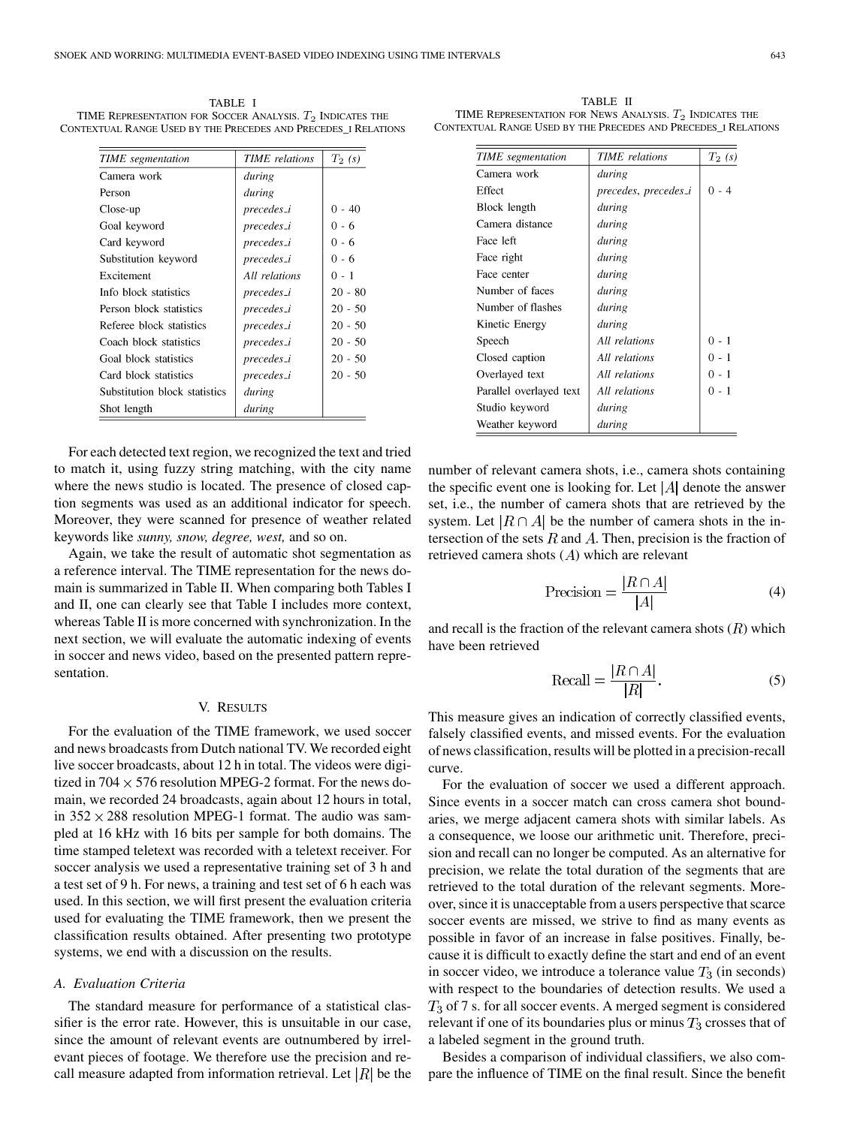TABLE I TIME REPRESENTATION FOR SOCCER ANALYSIS.  $T_2$  INDICATES THE CONTEXTUAL RANGE USED BY THE PRECEDES AND PRECEDES\_I RELATIONS

| <b>TIME</b> segmentation      | <b>TIME</b> relations | $T_2(s)$  |
|-------------------------------|-----------------------|-----------|
| Camera work                   | during                |           |
| Person                        | during                |           |
| Close-up                      | precedes_i            | $0 - 40$  |
| Goal keyword                  | precedes_i            | $0 - 6$   |
| Card keyword                  | precedes_i            | $0 - 6$   |
| Substitution keyword          | precedes_i            | $0 - 6$   |
| Excitement                    | All relations         | $0 - 1$   |
| Info block statistics         | precedes_i            | $20 - 80$ |
| Person block statistics       | precedes_i            | $20 - 50$ |
| Referee block statistics      | precedes_i            | $20 - 50$ |
| Coach block statistics        | precedes_i            | $20 - 50$ |
| Goal block statistics         | precedes_i            | $20 - 50$ |
| Card block statistics         | precedes_i            | $20 - 50$ |
| Substitution block statistics | during                |           |
| Shot length                   | during                |           |

For each detected text region, we recognized the text and tried to match it, using fuzzy string matching, with the city name where the news studio is located. The presence of closed caption segments was used as an additional indicator for speech. Moreover, they were scanned for presence of weather related keywords like *sunny, snow, degree, west,* and so on.

Again, we take the result of automatic shot segmentation as a reference interval. The TIME representation for the news domain is summarized in Table II. When comparing both Tables I and II, one can clearly see that Table I includes more context, whereas Table II is more concerned with synchronization. In the next section, we will evaluate the automatic indexing of events in soccer and news video, based on the presented pattern representation.

### V. RESULTS

For the evaluation of the TIME framework, we used soccer and news broadcasts from Dutch national TV. We recorded eight live soccer broadcasts, about 12 h in total. The videos were digitized in 704  $\times$  576 resolution MPEG-2 format. For the news domain, we recorded 24 broadcasts, again about 12 hours in total, in  $352 \times 288$  resolution MPEG-1 format. The audio was sampled at 16 kHz with 16 bits per sample for both domains. The time stamped teletext was recorded with a teletext receiver. For soccer analysis we used a representative training set of 3 h and a test set of 9 h. For news, a training and test set of 6 h each was used. In this section, we will first present the evaluation criteria used for evaluating the TIME framework, then we present the classification results obtained. After presenting two prototype systems, we end with a discussion on the results.

## *A. Evaluation Criteria*

The standard measure for performance of a statistical classifier is the error rate. However, this is unsuitable in our case, since the amount of relevant events are outnumbered by irrelevant pieces of footage. We therefore use the precision and recall measure adapted from information retrieval. Let  $|R|$  be the

TABLE II TIME REPRESENTATION FOR NEWS ANALYSIS.  $T_{\rm 2}$  INDICATES THE CONTEXTUAL RANGE USED BY THE PRECEDES AND PRECEDES\_I RELATIONS

| <b>TIME</b> segmentation | <b>TIME</b> relations | $T_2(s)$ |
|--------------------------|-----------------------|----------|
| Camera work              | during                |          |
| Effect                   | precedes, precedes_i  | () - 4   |
| Block length             | during                |          |
| Camera distance          | during                |          |
| Face left                | during                |          |
| Face right               | during                |          |
| Face center              | during                |          |
| Number of faces          | during                |          |
| Number of flashes        | during                |          |
| Kinetic Energy           | during                |          |
| Speech                   | All relations         | $0 - 1$  |
| Closed caption           | All relations         | $0 - 1$  |
| Overlayed text           | All relations         | 0 - 1    |
| Parallel overlayed text  | All relations         | $0 - 1$  |
| Studio keyword           | during                |          |
| Weather keyword          | during                |          |

number of relevant camera shots, i.e., camera shots containing the specific event one is looking for. Let  $|A|$  denote the answer set, i.e., the number of camera shots that are retrieved by the system. Let  $|R \cap A|$  be the number of camera shots in the intersection of the sets  $R$  and  $A$ . Then, precision is the fraction of retrieved camera shots  $(A)$  which are relevant

$$
Precision = \frac{|R \cap A|}{|A|} \tag{4}
$$

and recall is the fraction of the relevant camera shots  $(R)$  which have been retrieved

$$
\text{Recall} = \frac{|R \cap A|}{|R|}.\tag{5}
$$

This measure gives an indication of correctly classified events, falsely classified events, and missed events. For the evaluation of news classification, results will be plotted in a precision-recall curve.

For the evaluation of soccer we used a different approach. Since events in a soccer match can cross camera shot boundaries, we merge adjacent camera shots with similar labels. As a consequence, we loose our arithmetic unit. Therefore, precision and recall can no longer be computed. As an alternative for precision, we relate the total duration of the segments that are retrieved to the total duration of the relevant segments. Moreover, since it is unacceptable from a users perspective that scarce soccer events are missed, we strive to find as many events as possible in favor of an increase in false positives. Finally, because it is difficult to exactly define the start and end of an event in soccer video, we introduce a tolerance value  $T_3$  (in seconds) with respect to the boundaries of detection results. We used a  $T_3$  of 7 s. for all soccer events. A merged segment is considered relevant if one of its boundaries plus or minus  $T_3$  crosses that of a labeled segment in the ground truth.

Besides a comparison of individual classifiers, we also compare the influence of TIME on the final result. Since the benefit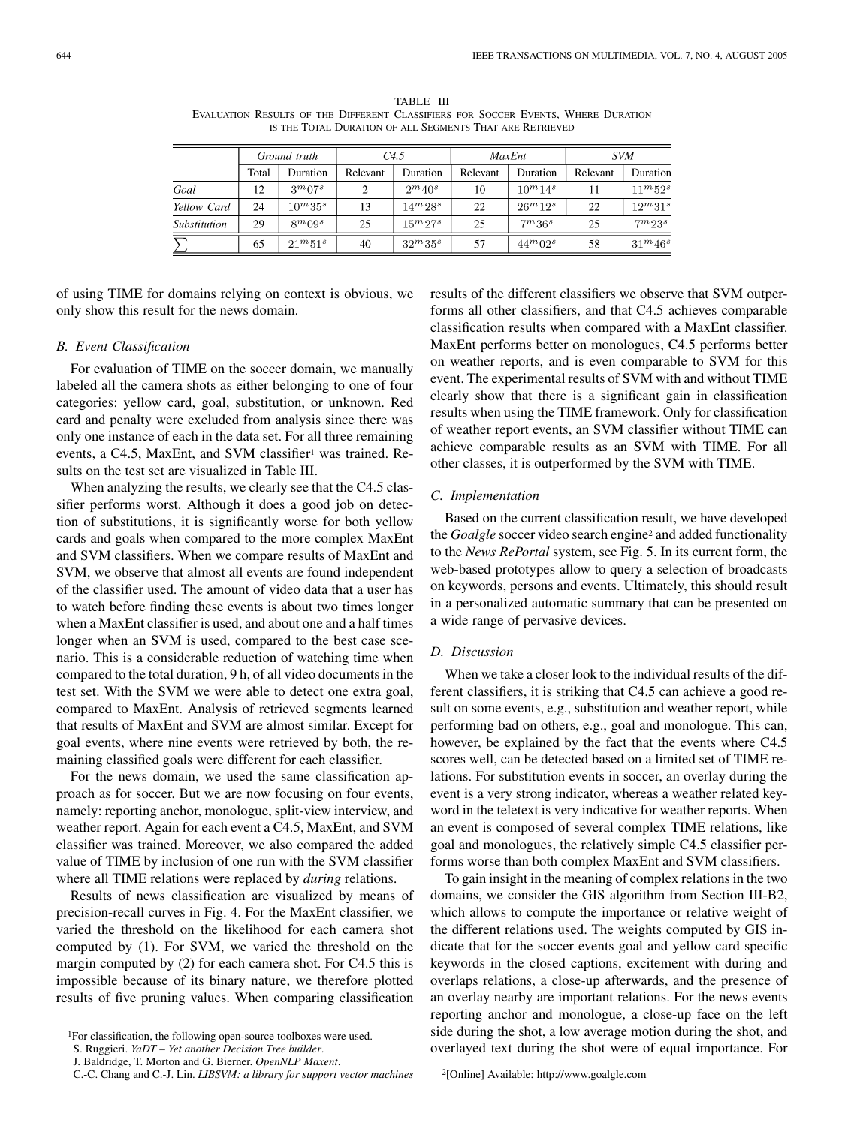|              | Ground truth |                | C4.5     |                          | <b>MaxEnt</b> |                                | <b>SVM</b> |                |
|--------------|--------------|----------------|----------|--------------------------|---------------|--------------------------------|------------|----------------|
|              | Total        | Duration       | Relevant | Duration                 | Relevant      | Duration                       | Relevant   | Duration       |
| Goal         | 12           | $3^m07^s$      | ↑        | $2^m 40^s$               | 10            | $10^{m}14^{s}$                 | 11         | $11^{m}52^{s}$ |
| Yellow Card  | 24           | $10^{m}35^{s}$ | 13       | $14^{m}$ 28 <sup>s</sup> | 22            | $26^{m}12^{s}$                 | 22         | $12^{m}31^{s}$ |
| Substitution | 29           | $8^m09^s$      | 25       | $15^{m} 27^{s}$          | 25            | 7 <sup>m</sup> 36 <sup>s</sup> | 25         | $7^m 23^s$     |
|              | 65           | $21^{m}51^{s}$ | 40       | $32^{m}35^{s}$           | 57            | $44^{m}02^{s}$                 | 58         | $31^{m}46^{s}$ |

TABLE III EVALUATION RESULTS OF THE DIFFERENT CLASSIFIERS FOR SOCCER EVENTS, WHERE DURATION IS THE TOTAL DURATION OF ALL SEGMENTS THAT ARE RETRIEVED

of using TIME for domains relying on context is obvious, we only show this result for the news domain.

## *B. Event Classification*

For evaluation of TIME on the soccer domain, we manually labeled all the camera shots as either belonging to one of four categories: yellow card, goal, substitution, or unknown. Red card and penalty were excluded from analysis since there was only one instance of each in the data set. For all three remaining events, a C4.5, MaxEnt, and SVM classifier<sup>1</sup> was trained. Results on the test set are visualized in Table III.

When analyzing the results, we clearly see that the C4.5 classifier performs worst. Although it does a good job on detection of substitutions, it is significantly worse for both yellow cards and goals when compared to the more complex MaxEnt and SVM classifiers. When we compare results of MaxEnt and SVM, we observe that almost all events are found independent of the classifier used. The amount of video data that a user has to watch before finding these events is about two times longer when a MaxEnt classifier is used, and about one and a half times longer when an SVM is used, compared to the best case scenario. This is a considerable reduction of watching time when compared to the total duration, 9 h, of all video documents in the test set. With the SVM we were able to detect one extra goal, compared to MaxEnt. Analysis of retrieved segments learned that results of MaxEnt and SVM are almost similar. Except for goal events, where nine events were retrieved by both, the remaining classified goals were different for each classifier.

For the news domain, we used the same classification approach as for soccer. But we are now focusing on four events, namely: reporting anchor, monologue, split-view interview, and weather report. Again for each event a C4.5, MaxEnt, and SVM classifier was trained. Moreover, we also compared the added value of TIME by inclusion of one run with the SVM classifier where all TIME relations were replaced by *during* relations.

Results of news classification are visualized by means of precision-recall curves in Fig. 4. For the MaxEnt classifier, we varied the threshold on the likelihood for each camera shot computed by (1). For SVM, we varied the threshold on the margin computed by (2) for each camera shot. For C4.5 this is impossible because of its binary nature, we therefore plotted results of five pruning values. When comparing classification

results of the different classifiers we observe that SVM outperforms all other classifiers, and that C4.5 achieves comparable classification results when compared with a MaxEnt classifier. MaxEnt performs better on monologues, C4.5 performs better on weather reports, and is even comparable to SVM for this event. The experimental results of SVM with and without TIME clearly show that there is a significant gain in classification results when using the TIME framework. Only for classification of weather report events, an SVM classifier without TIME can achieve comparable results as an SVM with TIME. For all other classes, it is outperformed by the SVM with TIME.

## *C. Implementation*

Based on the current classification result, we have developed the *Goalgle* soccer video search engine2 and added functionality to the *News RePortal* system, see Fig. 5. In its current form, the web-based prototypes allow to query a selection of broadcasts on keywords, persons and events. Ultimately, this should result in a personalized automatic summary that can be presented on a wide range of pervasive devices.

#### *D. Discussion*

When we take a closer look to the individual results of the different classifiers, it is striking that C4.5 can achieve a good result on some events, e.g., substitution and weather report, while performing bad on others, e.g., goal and monologue. This can, however, be explained by the fact that the events where C4.5 scores well, can be detected based on a limited set of TIME relations. For substitution events in soccer, an overlay during the event is a very strong indicator, whereas a weather related keyword in the teletext is very indicative for weather reports. When an event is composed of several complex TIME relations, like goal and monologues, the relatively simple C4.5 classifier performs worse than both complex MaxEnt and SVM classifiers.

To gain insight in the meaning of complex relations in the two domains, we consider the GIS algorithm from Section III-B2, which allows to compute the importance or relative weight of the different relations used. The weights computed by GIS indicate that for the soccer events goal and yellow card specific keywords in the closed captions, excitement with during and overlaps relations, a close-up afterwards, and the presence of an overlay nearby are important relations. For the news events reporting anchor and monologue, a close-up face on the left side during the shot, a low average motion during the shot, and overlayed text during the shot were of equal importance. For

2[Online] Available: http://www.goalgle.com

<sup>1</sup>For classification, the following open-source toolboxes were used.

S. Ruggieri. *YaDT – Yet another Decision Tree builder*.

J. Baldridge, T. Morton and G. Bierner. *OpenNLP Maxent*.

C.-C. Chang and C.-J. Lin. *LIBSVM: a library for support vector machines*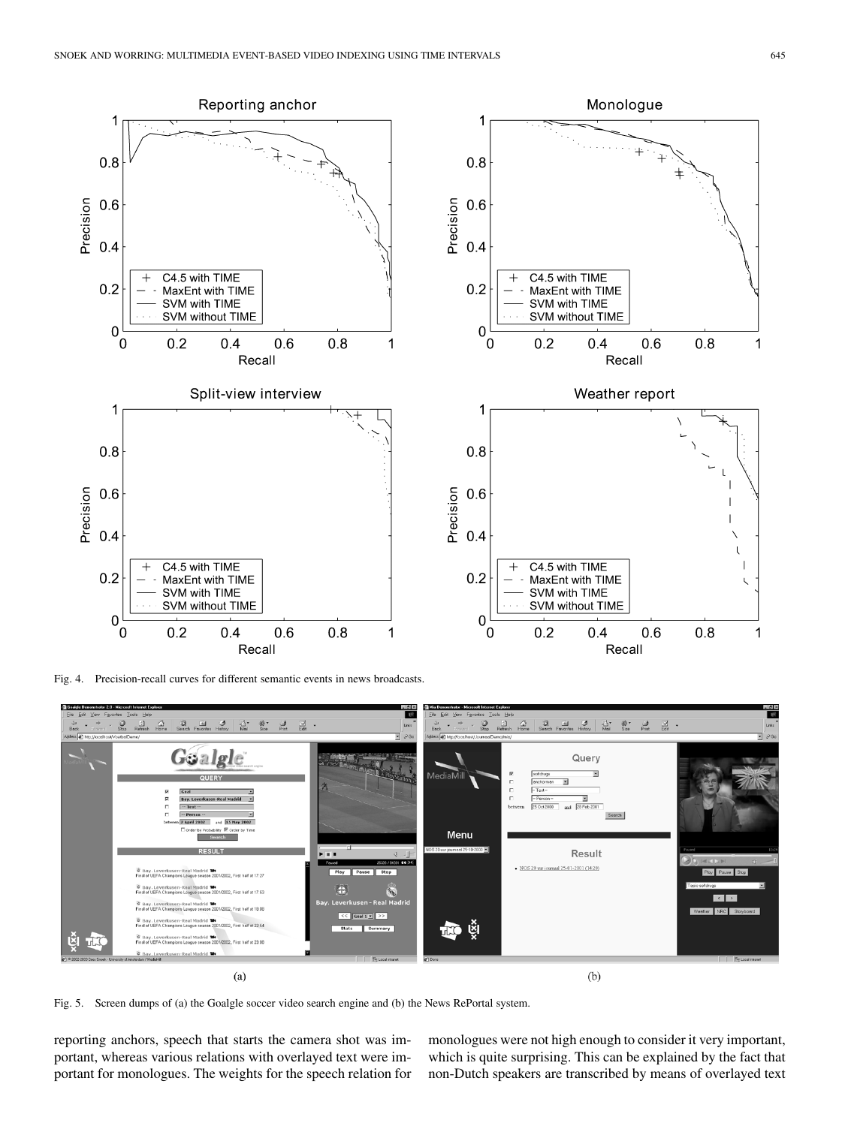

Fig. 4. Precision-recall curves for different semantic events in news broadcasts.



Fig. 5. Screen dumps of (a) the Goalgle soccer video search engine and (b) the News RePortal system.

reporting anchors, speech that starts the camera shot was important, whereas various relations with overlayed text were important for monologues. The weights for the speech relation for monologues were not high enough to consider it very important, which is quite surprising. This can be explained by the fact that non-Dutch speakers are transcribed by means of overlayed text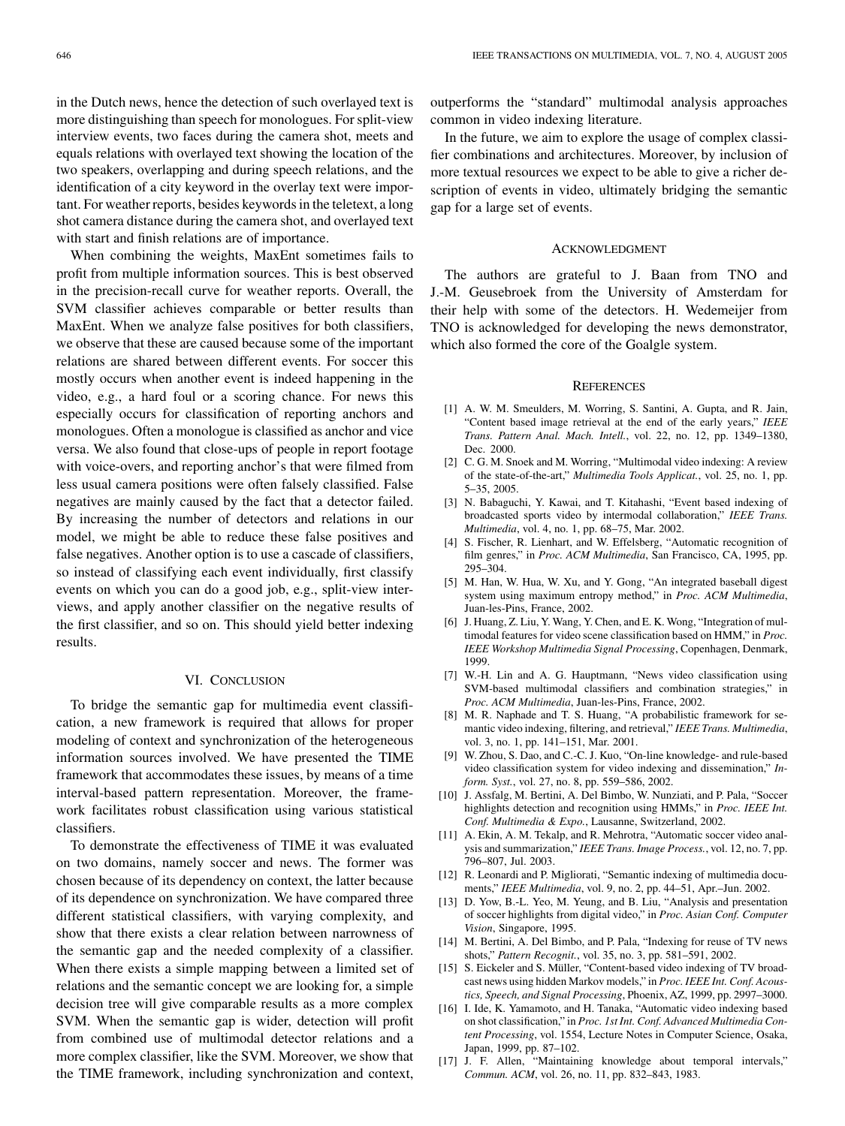<span id="page-8-0"></span>in the Dutch news, hence the detection of such overlayed text is more distinguishing than speech for monologues. For split-view interview events, two faces during the camera shot, meets and equals relations with overlayed text showing the location of the two speakers, overlapping and during speech relations, and the identification of a city keyword in the overlay text were important. For weather reports, besides keywords in the teletext, a long shot camera distance during the camera shot, and overlayed text with start and finish relations are of importance.

When combining the weights, MaxEnt sometimes fails to profit from multiple information sources. This is best observed in the precision-recall curve for weather reports. Overall, the SVM classifier achieves comparable or better results than MaxEnt. When we analyze false positives for both classifiers, we observe that these are caused because some of the important relations are shared between different events. For soccer this mostly occurs when another event is indeed happening in the video, e.g., a hard foul or a scoring chance. For news this especially occurs for classification of reporting anchors and monologues. Often a monologue is classified as anchor and vice versa. We also found that close-ups of people in report footage with voice-overs, and reporting anchor's that were filmed from less usual camera positions were often falsely classified. False negatives are mainly caused by the fact that a detector failed. By increasing the number of detectors and relations in our model, we might be able to reduce these false positives and false negatives. Another option is to use a cascade of classifiers, so instead of classifying each event individually, first classify events on which you can do a good job, e.g., split-view interviews, and apply another classifier on the negative results of the first classifier, and so on. This should yield better indexing results.

## VI. CONCLUSION

To bridge the semantic gap for multimedia event classification, a new framework is required that allows for proper modeling of context and synchronization of the heterogeneous information sources involved. We have presented the TIME framework that accommodates these issues, by means of a time interval-based pattern representation. Moreover, the framework facilitates robust classification using various statistical classifiers.

To demonstrate the effectiveness of TIME it was evaluated on two domains, namely soccer and news. The former was chosen because of its dependency on context, the latter because of its dependence on synchronization. We have compared three different statistical classifiers, with varying complexity, and show that there exists a clear relation between narrowness of the semantic gap and the needed complexity of a classifier. When there exists a simple mapping between a limited set of relations and the semantic concept we are looking for, a simple decision tree will give comparable results as a more complex SVM. When the semantic gap is wider, detection will profit from combined use of multimodal detector relations and a more complex classifier, like the SVM. Moreover, we show that the TIME framework, including synchronization and context,

outperforms the "standard" multimodal analysis approaches common in video indexing literature.

In the future, we aim to explore the usage of complex classifier combinations and architectures. Moreover, by inclusion of more textual resources we expect to be able to give a richer description of events in video, ultimately bridging the semantic gap for a large set of events.

#### ACKNOWLEDGMENT

The authors are grateful to J. Baan from TNO and J.-M. Geusebroek from the University of Amsterdam for their help with some of the detectors. H. Wedemeijer from TNO is acknowledged for developing the news demonstrator, which also formed the core of the Goalgle system.

#### **REFERENCES**

- [1] A. W. M. Smeulders, M. Worring, S. Santini, A. Gupta, and R. Jain, "Content based image retrieval at the end of the early years," *IEEE Trans. Pattern Anal. Mach. Intell.*, vol. 22, no. 12, pp. 1349–1380, Dec. 2000.
- [2] C. G. M. Snoek and M. Worring, "Multimodal video indexing: A review of the state-of-the-art," *Multimedia Tools Applicat.*, vol. 25, no. 1, pp. 5–35, 2005.
- [3] N. Babaguchi, Y. Kawai, and T. Kitahashi, "Event based indexing of broadcasted sports video by intermodal collaboration," *IEEE Trans. Multimedia*, vol. 4, no. 1, pp. 68–75, Mar. 2002.
- [4] S. Fischer, R. Lienhart, and W. Effelsberg, "Automatic recognition of film genres," in *Proc. ACM Multimedia*, San Francisco, CA, 1995, pp. 295–304.
- [5] M. Han, W. Hua, W. Xu, and Y. Gong, "An integrated baseball digest system using maximum entropy method," in *Proc. ACM Multimedia*, Juan-les-Pins, France, 2002.
- [6] J. Huang, Z. Liu, Y. Wang, Y. Chen, and E. K. Wong, "Integration of multimodal features for video scene classification based on HMM," in *Proc. IEEE Workshop Multimedia Signal Processing*, Copenhagen, Denmark, 1999.
- [7] W.-H. Lin and A. G. Hauptmann, "News video classification using SVM-based multimodal classifiers and combination strategies," in *Proc. ACM Multimedia*, Juan-les-Pins, France, 2002.
- [8] M. R. Naphade and T. S. Huang, "A probabilistic framework for semantic video indexing, filtering, and retrieval," *IEEE Trans. Multimedia*, vol. 3, no. 1, pp. 141–151, Mar. 2001.
- [9] W. Zhou, S. Dao, and C.-C. J. Kuo, "On-line knowledge- and rule-based video classification system for video indexing and dissemination," *Inform. Syst.*, vol. 27, no. 8, pp. 559–586, 2002.
- [10] J. Assfalg, M. Bertini, A. Del Bimbo, W. Nunziati, and P. Pala, "Soccer highlights detection and recognition using HMMs," in *Proc. IEEE Int. Conf. Multimedia & Expo.*, Lausanne, Switzerland, 2002.
- [11] A. Ekin, A. M. Tekalp, and R. Mehrotra, "Automatic soccer video analysis and summarization," *IEEE Trans. Image Process.*, vol. 12, no. 7, pp. 796–807, Jul. 2003.
- [12] R. Leonardi and P. Migliorati, "Semantic indexing of multimedia documents," *IEEE Multimedia*, vol. 9, no. 2, pp. 44–51, Apr.–Jun. 2002.
- [13] D. Yow, B.-L. Yeo, M. Yeung, and B. Liu, "Analysis and presentation of soccer highlights from digital video," in *Proc. Asian Conf. Computer Vision*, Singapore, 1995.
- [14] M. Bertini, A. Del Bimbo, and P. Pala, "Indexing for reuse of TV news shots," *Pattern Recognit.*, vol. 35, no. 3, pp. 581–591, 2002.
- [15] S. Eickeler and S. Müller, "Content-based video indexing of TV broadcast news using hidden Markov models," in *Proc. IEEE Int. Conf. Acoustics, Speech, and Signal Processing*, Phoenix, AZ, 1999, pp. 2997–3000.
- [16] I. Ide, K. Yamamoto, and H. Tanaka, "Automatic video indexing based on shot classification," in *Proc. 1st Int. Conf. Advanced Multimedia Content Processing*, vol. 1554, Lecture Notes in Computer Science, Osaka, Japan, 1999, pp. 87–102.
- [17] J. F. Allen, "Maintaining knowledge about temporal intervals," *Commun. ACM*, vol. 26, no. 11, pp. 832–843, 1983.